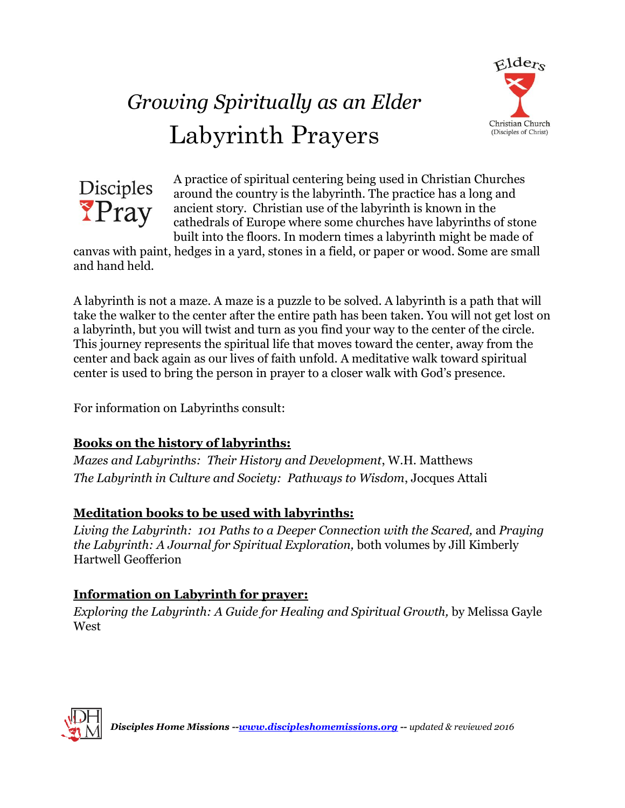

# *Growing Spiritually as an Elder* Labyrinth Prayers



A practice of spiritual centering being used in Christian Churches around the country is the labyrinth. The practice has a long and ancient story. Christian use of the labyrinth is known in the cathedrals of Europe where some churches have labyrinths of stone built into the floors. In modern times a labyrinth might be made of

canvas with paint, hedges in a yard, stones in a field, or paper or wood. Some are small and hand held.

A labyrinth is not a maze. A maze is a puzzle to be solved. A labyrinth is a path that will take the walker to the center after the entire path has been taken. You will not get lost on a labyrinth, but you will twist and turn as you find your way to the center of the circle. This journey represents the spiritual life that moves toward the center, away from the center and back again as our lives of faith unfold. A meditative walk toward spiritual center is used to bring the person in prayer to a closer walk with God's presence.

For information on Labyrinths consult:

### **Books on the history of labyrinths:**

*Mazes and Labyrinths: Their History and Development*, W.H. Matthews *The Labyrinth in Culture and Society: Pathways to Wisdom*, Jocques Attali

### **Meditation books to be used with labyrinths:**

*Living the Labyrinth: 101 Paths to a Deeper Connection with the Scared,* and *Praying the Labyrinth: A Journal for Spiritual Exploration,* both volumes by Jill Kimberly Hartwell Geofferion

### **Information on Labyrinth for prayer:**

*Exploring the Labyrinth: A Guide for Healing and Spiritual Growth, by Melissa Gayle* West

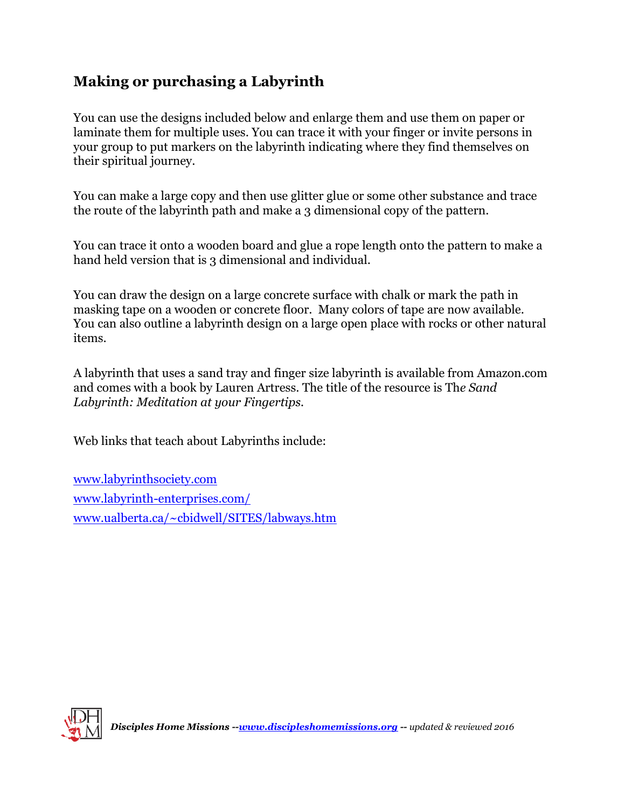## **Making or purchasing a Labyrinth**

You can use the designs included below and enlarge them and use them on paper or laminate them for multiple uses. You can trace it with your finger or invite persons in your group to put markers on the labyrinth indicating where they find themselves on their spiritual journey.

You can make a large copy and then use glitter glue or some other substance and trace the route of the labyrinth path and make a 3 dimensional copy of the pattern.

You can trace it onto a wooden board and glue a rope length onto the pattern to make a hand held version that is 3 dimensional and individual.

You can draw the design on a large concrete surface with chalk or mark the path in masking tape on a wooden or concrete floor. Many colors of tape are now available. You can also outline a labyrinth design on a large open place with rocks or other natural items.

A labyrinth that uses a sand tray and finger size labyrinth is available from Amazon.com and comes with a book by Lauren Artress. The title of the resource is Th*e Sand Labyrinth: Meditation at your Fingertips.*

Web links that teach about Labyrinths include:

[www.labyrinthsociety.com](http://www.labyrinthsociety.com/) [www.labyrinth-enterprises.com/](http://www.labyrinth-enterprises.com/) [www.ualberta.ca/~cbidwell/SITES/labways.htm](http://www.ualberta.ca/~cbidwell/SITES/labways.htm)